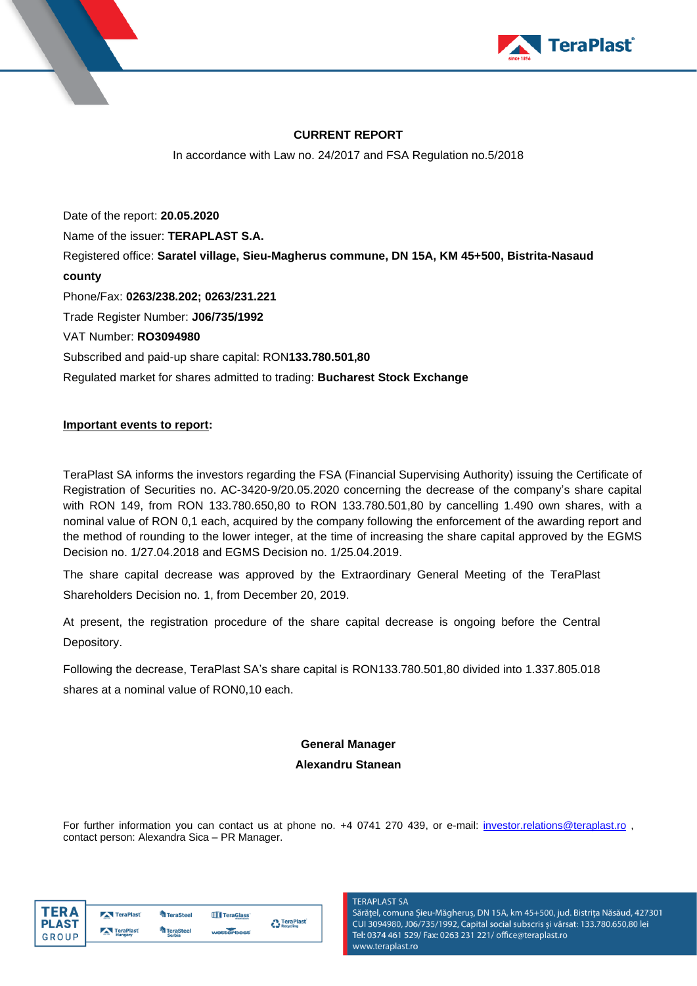

### **CURRENT REPORT**

In accordance with Law no. 24/2017 and FSA Regulation no.5/2018

Date of the report: **20.05.2020** Name of the issuer: **TERAPLAST S.A.**  Registered office: **Saratel village, Sieu-Magherus commune, DN 15A, KM 45+500, Bistrita-Nasaud county** Phone/Fax: **0263/238.202; 0263/231.221**  Trade Register Number: **J06/735/1992**  VAT Number: **RO3094980**  Subscribed and paid-up share capital: RON**133.780.501,80** Regulated market for shares admitted to trading: **Bucharest Stock Exchange**

### **Important events to report:**

TeraPlast SA informs the investors regarding the FSA (Financial Supervising Authority) issuing the Certificate of Registration of Securities no. AC-3420-9/20.05.2020 concerning the decrease of the company's share capital with RON 149, from RON 133.780.650,80 to RON 133.780.501,80 by cancelling 1.490 own shares, with a nominal value of RON 0,1 each, acquired by the company following the enforcement of the awarding report and the method of rounding to the lower integer, at the time of increasing the share capital approved by the EGMS Decision no. 1/27.04.2018 and EGMS Decision no. 1/25.04.2019.

The share capital decrease was approved by the Extraordinary General Meeting of the TeraPlast Shareholders Decision no. 1, from December 20, 2019.

At present, the registration procedure of the share capital decrease is ongoing before the Central Depository.

Following the decrease, TeraPlast SA's share capital is RON133.780.501,80 divided into 1.337.805.018 shares at a nominal value of RON0,10 each.

## **General Manager**

### **Alexandru Stanean**

For further information you can contact us at phone no. +4 0741 270 439, or e-mail: [investor.relations@teraplast.ro](mailto:investor.relations@teraplast.ro) contact person: Alexandra Sica – PR Manager.

| ER A         | TeraPlast               | <b>TeraSteel</b> | <b>TTT</b> TeraGlass | <b>A</b> TeraPlast |
|--------------|-------------------------|------------------|----------------------|--------------------|
| <b>PLAST</b> | TeraPlast               | TeraSteel        |                      | Recycling          |
| GROUP        | <b>COLOR</b><br>Hungary | <b>Serbia</b>    | wetterbest           |                    |

#### **TERAPLAST SA**

Sărățel, comuna Șieu-Măgheruș, DN 15A, km 45+500, jud. Bistrița Năsăud, 427301 CUI 3094980, J06/735/1992, Capital social subscris și vărsat: 133.780.650,80 lei Tel: 0374 461 529/ Fax: 0263 231 221/ office@teraplast.ro www.teraplast.ro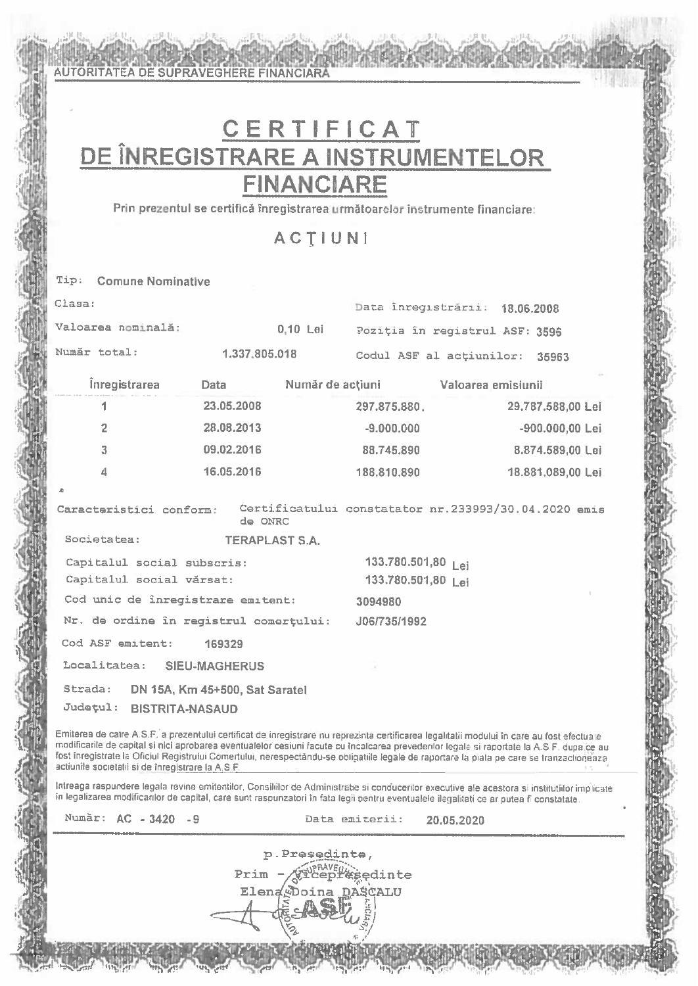# CERTIFICAT DE ÎNREGISTRARE A INSTRUMENTELOR **FINANCIARE**

**AUTORITATEA DE SUPRAVEGHERE FINANCIARA** 

Prin prezentul se certifică înregistrarea următoarelor instrumente financiare:

**ACTIUNI** 

|                                           | Tip: Comune Nominative                                                                                                                     |                       |            |                                     |                                |                   |  |
|-------------------------------------------|--------------------------------------------------------------------------------------------------------------------------------------------|-----------------------|------------|-------------------------------------|--------------------------------|-------------------|--|
| Clasa:                                    |                                                                                                                                            |                       |            |                                     | Data inregistrării: 18.06.2008 |                   |  |
|                                           | Valoarea nominală:                                                                                                                         |                       | $0.10$ Lei | Poziția în registrul ASF: 3596      |                                |                   |  |
|                                           | Număr total:                                                                                                                               | 1.337.805.018         |            |                                     | Codul ASF al actiunilor: 35963 |                   |  |
|                                           | <i><b>Inregistrarea</b></i>                                                                                                                | <b>Data</b>           |            | Număr de acțiuni valoarea emisiunii |                                |                   |  |
|                                           | 1                                                                                                                                          | 23.05.2008            |            | 297.875.880                         |                                | 29.787.588,00 Lei |  |
|                                           | $\overline{2}$                                                                                                                             | 28,08,2013            |            | $-9.000.000$                        |                                | -900.000,00 Lei   |  |
|                                           | 3                                                                                                                                          | 09.02.2016            |            | 88.745.890                          |                                | 8.874.589,00 Lei  |  |
|                                           | $\varDelta$                                                                                                                                | 16.05.2016            |            | 188,810,890                         |                                | 18.881.089,00 Lei |  |
| $\triangle$                               |                                                                                                                                            |                       |            |                                     |                                |                   |  |
|                                           | Caracteristici conform: Certificatului constatator nr.233993/30.04.2020 emis                                                               | de ONRC               |            |                                     |                                |                   |  |
|                                           | Societatea:                                                                                                                                | <b>TERAPLAST S.A.</b> |            |                                     |                                |                   |  |
| Capitalul social subscris:                |                                                                                                                                            |                       |            | 133.780.501,80 Lei                  |                                |                   |  |
| Capitalul social vărsat:                  |                                                                                                                                            |                       |            | 133.780.501,80 Lei                  |                                |                   |  |
| Cod unic de înregistrare emitent: 3094980 |                                                                                                                                            |                       |            |                                     |                                |                   |  |
|                                           | Nr. de ordine în registrul comerțului: J06/735/1992                                                                                        |                       |            |                                     |                                |                   |  |
|                                           | Cod ASF emitent: 169329                                                                                                                    |                       |            |                                     |                                |                   |  |
|                                           | Localitatea: SIEU-MAGHERUS                                                                                                                 |                       |            |                                     |                                |                   |  |
|                                           | Strada: DN 15A, Km 45+500, Sat Saratel<br>Județul: BISTRITA-NASAUD                                                                         |                       |            |                                     |                                |                   |  |
|                                           | Emiterea de catre A.S.F. a prezentului certificat de inregistrare nu reprezinta certificarea legalitatii modului în care au fost efectuate |                       |            |                                     |                                |                   |  |

modificarile de capital si nici aprobarea eventualelor cesiuni facute cu încalcarea prevederilor legale si raportate la A.S.F. dupa ce au fost inregistrate la Oficiul Registrului Comertului, nerespectându-se obligatiile legale de raportare la piata pe care se tranzactioneaza actiunile societati si de înregistrare la A.S.F.

Intreaga raspundere legala revine emitentilor, Consiliilor de Administratie si conducerilor executive ale acestora si institutiilor implicate in legalizarea modificarilor de capital, care sunt raspunzatori în fata legii pentru eventualele ilegalitati ce ar putea fi constatate.

p.Presedinte,

Prim

Elen

Număr: AC - 3420 - 9

Data emiterii:

**Esedinte** ASCALU

20,05,2020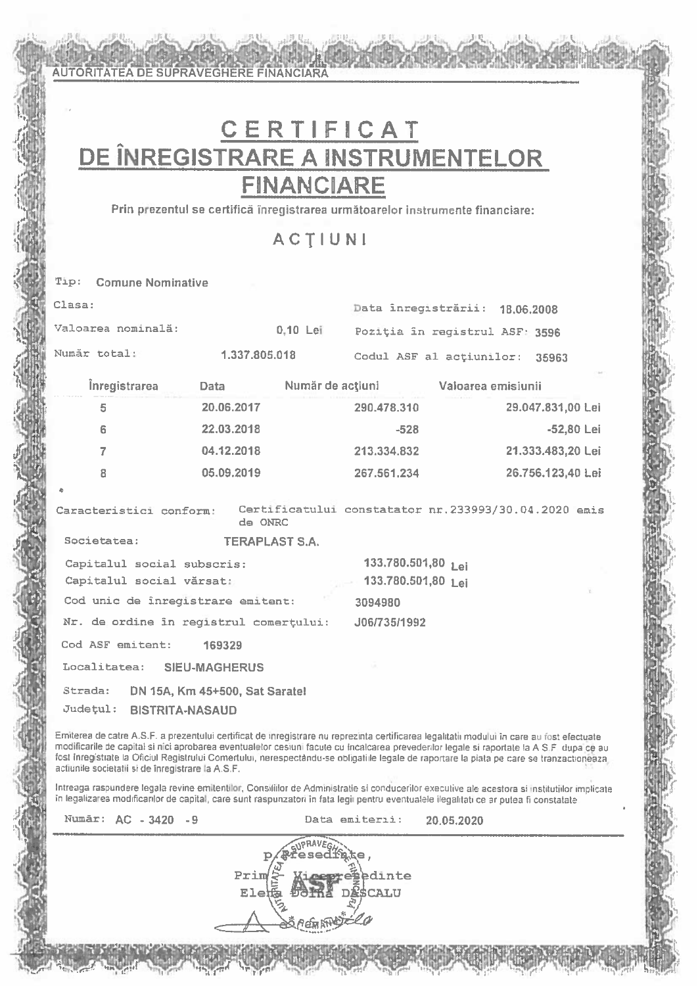# CERTIFICAT DE ÎNREGISTRARE A INSTRUMENTELOR **FINANCIARE**

Prin prezentul se certifică înregistrarea următoarelor instrumente financiare:

**ACTIUNI** 

**Comune Nominative** Tip:

**AUTORITATEA DE SUPRAVEGHERE FINANCIARA** 

| Clasa:                                                             |                                  |          |                                          | Data înregistrării: 18.06.2008      |                                                      |
|--------------------------------------------------------------------|----------------------------------|----------|------------------------------------------|-------------------------------------|------------------------------------------------------|
| Valoarea nominală:                                                 |                                  | 0.10 Lei |                                          | Poziția în registrul ASF: 3596      |                                                      |
| Număr total:                                                       | 1.337.805.018                    |          |                                          | Codul ASF al actiunilor: 35963      |                                                      |
| <i><u><b>Inregistrarea</b></u></i>                                 | Data                             |          |                                          | Număr de acțiuni valoarea emisiunii |                                                      |
| 5                                                                  | 20.06.2017                       |          | 290,478,310                              |                                     | 29.047.831,00 Lei                                    |
| 6                                                                  | 22.03.2018                       |          | $-528$                                   |                                     | -52,80 Lei                                           |
| $\overline{7}$                                                     | 04.12.2018                       |          | 213.334.832                              |                                     | 21.333,483,20 Lei                                    |
| 8                                                                  | 05.09.2019                       |          | 267.561.234                              |                                     | 26.756.123,40 Lei                                    |
| Caracteristici conform:<br>Societatea:                             | de ONRC<br><b>TERAPLAST S.A.</b> |          |                                          |                                     | Certificatului constatator nr.233993/30.04.2020 emis |
| Capitalul social subscris:<br>Capitalul social vărsat:             |                                  |          | 133.780.501,80 Lei<br>133.780.501,80 Lei |                                     | Y.                                                   |
| Cod unic de înregistrare emitent:                                  |                                  |          | 3094980                                  |                                     |                                                      |
| Nr. de ordine în registrul comerțului:                             |                                  |          | J06/735/1992                             |                                     |                                                      |
| Cod ASF emitent: 169329                                            |                                  |          |                                          |                                     |                                                      |
| Localitatea: SIEU-MAGHERUS                                         |                                  |          |                                          |                                     |                                                      |
| Strada: DN 15A, Km 45+500, Sat Saratel<br>Județul: BISTRITA-NASAUD |                                  |          |                                          |                                     |                                                      |

Emiterea de catre A.S.F. a prezentului certificat de inregistrare nu reprezinta certificarea legalitatii modului în care au fost efectuate modificarile de capital si nici aprobarea eventualelor cesiuni facute cu incalcarea prevederilor legale si raportate la A S.F. dupa ce au fost inregistrate la Oficiul Registrului Comertului, nerespectàndu-se obligatille legale de raportare la piata pe care se tranzactioneaza actiunile societatii si de înregistrare la A.S.F.

Intreaga raspundere legala revine emitentilor, Consiliilor de Administratie si conducerilor executive ale acestora si institutiilor implicate în legalizarea modificarilor de capital, care sunt raspunzatori în fata legii pentru eventualele ilegalitati ce ar putea fi constatate

Număr: AC - 3420 - 9

Data emiterii: 20.05.2020

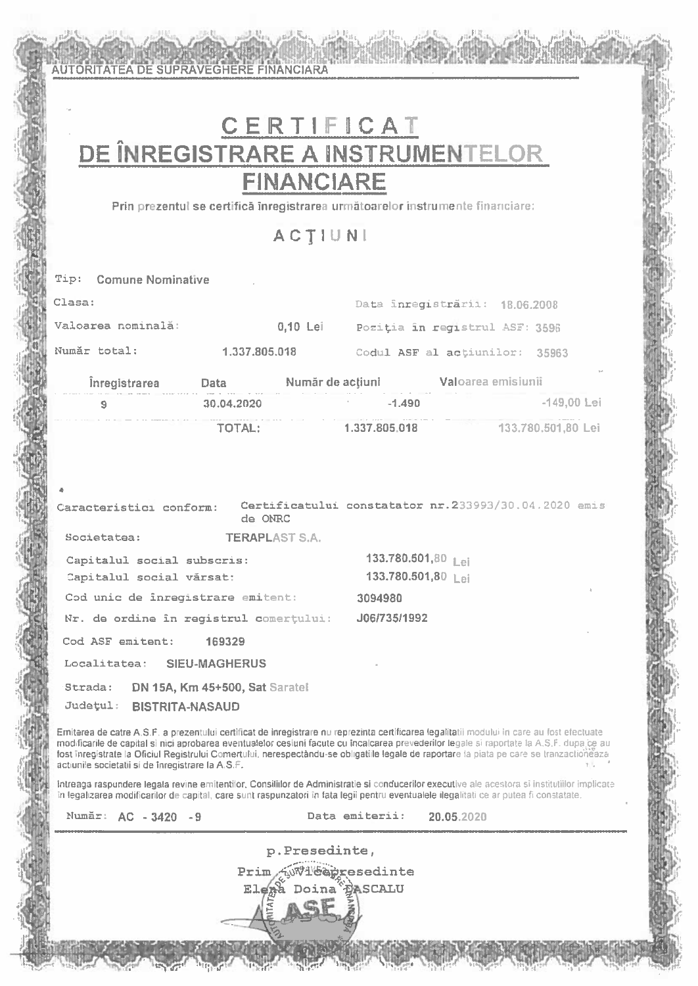AUTORITATEA DE SUPRAVEGHERE FINANCIARA

# CERTIFICAT DE ÎNREGISTRARE A INSTRUMENTELOR **FINANCIARE**

Prin prezentul se certifică înregistrarea următoarelor instrumente financiare:

ACTIUNI

|        | Tip: Comune Nominative  |                                                                                                                                                                                                                                                                                        |                       |                                         |                                                      |  |
|--------|-------------------------|----------------------------------------------------------------------------------------------------------------------------------------------------------------------------------------------------------------------------------------------------------------------------------------|-----------------------|-----------------------------------------|------------------------------------------------------|--|
| Clasa: |                         |                                                                                                                                                                                                                                                                                        |                       | Data inregistrării: 18.06.2008          |                                                      |  |
|        | Valoarea nominală:      |                                                                                                                                                                                                                                                                                        |                       | 0.10 Lei Poziția în registrul ASF: 3596 |                                                      |  |
|        | Număr total:            | 1.337.805.018                                                                                                                                                                                                                                                                          |                       |                                         | Codul ASF al actiunilor: 35963                       |  |
|        |                         | <b>Inregistrarea Data Numär de acțiuni Val</b> oarea emisiunii                                                                                                                                                                                                                         |                       |                                         |                                                      |  |
|        | 9                       | 30.04.2020                                                                                                                                                                                                                                                                             |                       | $-1.490$                                | $-149,00$ Lei                                        |  |
|        |                         | TOTAL:                                                                                                                                                                                                                                                                                 |                       | 1.337.805.018                           | 133.780.501,80 Lei                                   |  |
|        |                         |                                                                                                                                                                                                                                                                                        |                       |                                         |                                                      |  |
|        |                         |                                                                                                                                                                                                                                                                                        |                       |                                         |                                                      |  |
| Æ.     |                         |                                                                                                                                                                                                                                                                                        |                       |                                         |                                                      |  |
|        | Caracteristici conform: | de ONRC                                                                                                                                                                                                                                                                                |                       |                                         | Certificatului constatator nr.233993/30.04.2020 emis |  |
|        | Societatea:             |                                                                                                                                                                                                                                                                                        | <b>TERAPLAST S.A.</b> |                                         |                                                      |  |
|        |                         | Capitalul social subscris:                                                                                                                                                                                                                                                             |                       | 133.780.501,80 Lei                      |                                                      |  |
|        |                         | Capitalul social vărsat:                                                                                                                                                                                                                                                               |                       | 133.780.501,80 Lei                      |                                                      |  |
|        |                         | Cod unic de inregistrare emitent:                                                                                                                                                                                                                                                      |                       | 3094980                                 |                                                      |  |
|        |                         | Nr. de ordine în registrul comerțului:                                                                                                                                                                                                                                                 |                       | J06/735/1992                            |                                                      |  |
|        |                         | Cod ASF emitent: 169329                                                                                                                                                                                                                                                                |                       |                                         |                                                      |  |
|        |                         | Localitatea: SIEU-MAGHERUS                                                                                                                                                                                                                                                             |                       |                                         |                                                      |  |
|        | Strada:                 | DN 15A, Km 45+500, Sat Saratel                                                                                                                                                                                                                                                         |                       |                                         |                                                      |  |
|        |                         | Județul: BISTRITA-NASAUD                                                                                                                                                                                                                                                               |                       |                                         |                                                      |  |
|        |                         | Emiterea de catre A.S.F. a prezentului certificat de inregistrare nu reprezinta certificarea legalitatii modului în care au fost efectuate                                                                                                                                             |                       |                                         |                                                      |  |
|        |                         | modificarile de capital si nici aprobarea eventualelor cesiuni facute cu încalcarea prevederilor legale si raportate la A.S.F. dupa ce au<br>fost inregistrate la Oficiul Registrului Comertului, nerespectandu-se obligatiile legale de raportare la piata pe care se tranzactioneaza |                       |                                         |                                                      |  |

actiunile societatii si de înregistrare la A.S.F.

Intreaga raspundere legala revine emitentilor, Consiliilor de Administratie si conducerilor executive ale acestora si institutiilor implicate In legalizarea modificarilor de capital, care sunt raspunzatori în fata legii pentru eventualele ilegalitati ce ar putea fi constatate.

| Numar: $AC = 3420$ |  |  |  |  |
|--------------------|--|--|--|--|
|                    |  |  |  |  |

Data emiterii: 20.05.2020

p.Presedinte, **Wi'eapresedinte** Prim **PASCALU** Doina<sup>'</sup> Ele